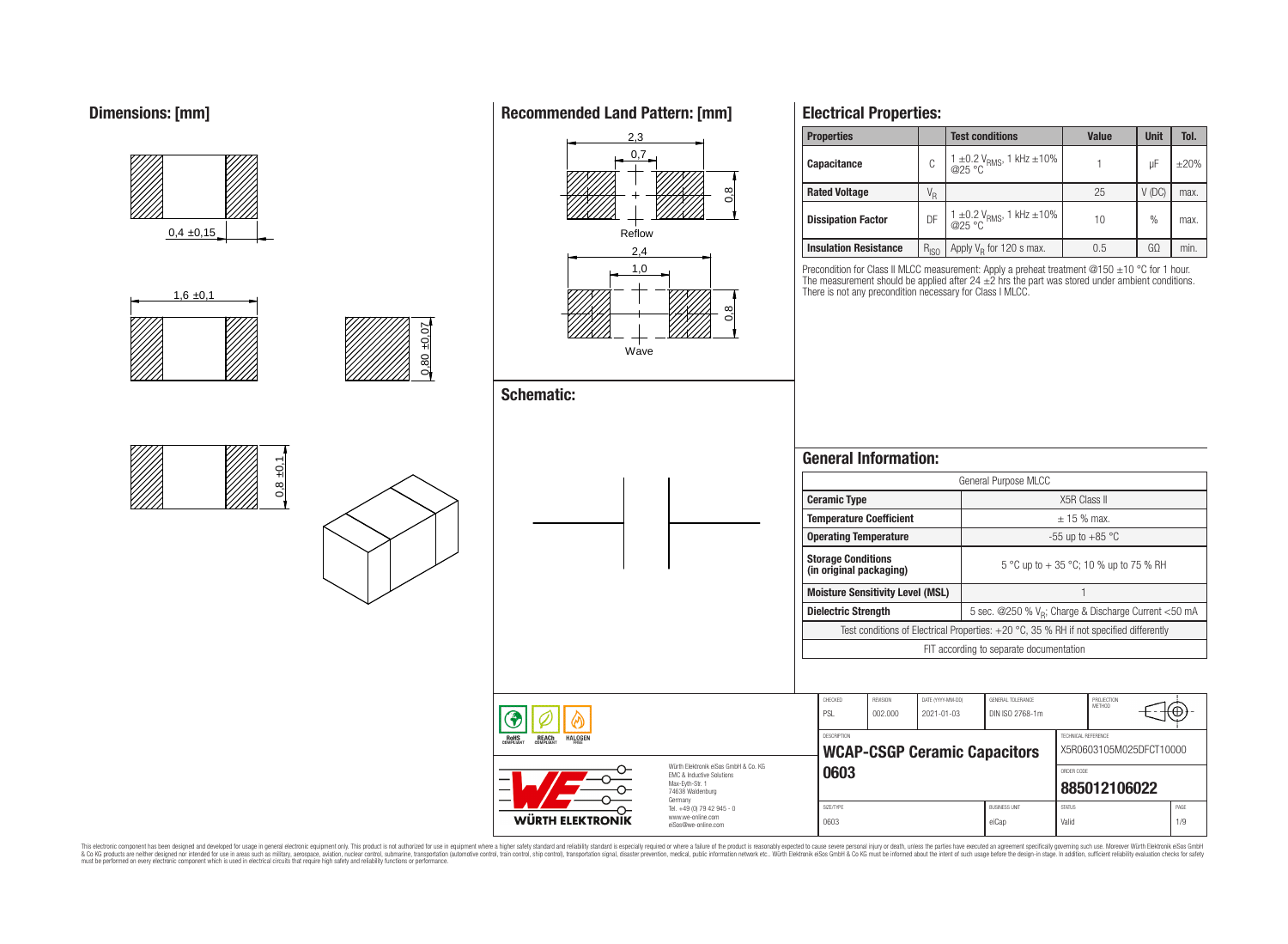# **Dimensions: [mm]**



**Recommended Land Pattern: [mm]**

**Electrical Properties:**

This electronic component has been designed and developed for usage in general electronic equipment only. This product is not authorized for use in equipment where a higher safely standard and reliability standard si espec & Ook product a label and the membed of the seasuch as marked and as which such a membed and the such assume that income in the seasuch and the simulation and the such assume that include to the such a membed and the such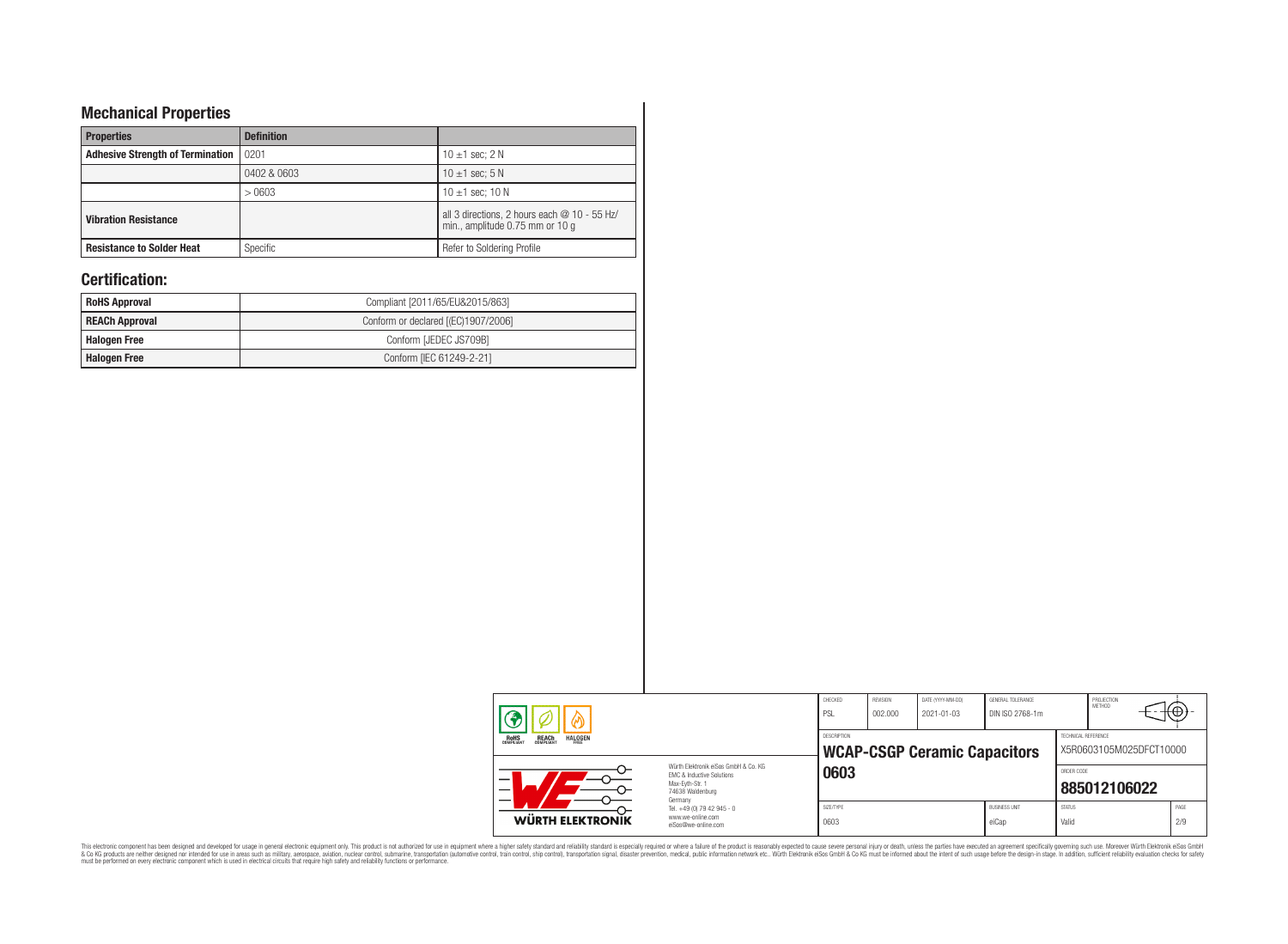# **Mechanical Properties**

| <b>Properties</b>                       | <b>Definition</b> |                                                                                 |
|-----------------------------------------|-------------------|---------------------------------------------------------------------------------|
| <b>Adhesive Strength of Termination</b> | 0201              | 10 $\pm$ 1 sec; 2 N                                                             |
|                                         | 0402 & 0603       | 10 $\pm$ 1 sec: 5 N                                                             |
|                                         | >0603             | 10 $\pm$ 1 sec; 10 N                                                            |
| <b>Vibration Resistance</b>             |                   | all 3 directions, 2 hours each @ 10 - 55 Hz/<br>min., amplitude 0.75 mm or 10 g |
| <b>Resistance to Solder Heat</b>        | Specific          | Refer to Soldering Profile                                                      |

# **Certification:**

| <b>RoHS Approval</b>  | Compliant [2011/65/EU&2015/863]     |  |  |  |  |  |  |
|-----------------------|-------------------------------------|--|--|--|--|--|--|
| <b>REACh Approval</b> | Conform or declared [(EC)1907/2006] |  |  |  |  |  |  |
| <b>Halogen Free</b>   | Conform [JEDEC JS709B]              |  |  |  |  |  |  |
| <b>Halogen Free</b>   | Conform [IEC 61249-2-21]            |  |  |  |  |  |  |

| ⋒                                                                       |                                                                                                                     | CHECKED<br>PSL     | REVISION<br>002.000 | DATE (YYYY-MM-DD)<br>2021-01-03     | GENERAL TOLERANCE<br>DIN ISO 2768-1m |                        | PROJECTION<br>METHOD    | $+\Theta$   |
|-------------------------------------------------------------------------|---------------------------------------------------------------------------------------------------------------------|--------------------|---------------------|-------------------------------------|--------------------------------------|------------------------|-------------------------|-------------|
| <b>REACH</b><br>COMPLIANT<br><b>HALOGEN</b><br><b>ROHS</b><br>COMPLIANT |                                                                                                                     | <b>DESCRIPTION</b> |                     | <b>WCAP-CSGP Ceramic Capacitors</b> |                                      | TECHNICAL REFERENCE    | X5R0603105M025DFCT10000 |             |
|                                                                         | Würth Elektronik eiSos GmbH & Co. KG<br>EMC & Inductive Solutions<br>Max-Evth-Str. 1<br>74638 Waldenburg<br>Germany | 0603               |                     |                                     |                                      | ORDER CODE             | 885012106022            |             |
| WÜRTH ELEKTRONIK                                                        | Tel. +49 (0) 79 42 945 - 0<br>www.we-online.com<br>eiSos@we-online.com                                              | SIZE/TYPE<br>0603  |                     |                                     | <b>BUSINESS UNIT</b><br>eiCap        | <b>STATUS</b><br>Valid |                         | PAGE<br>2/9 |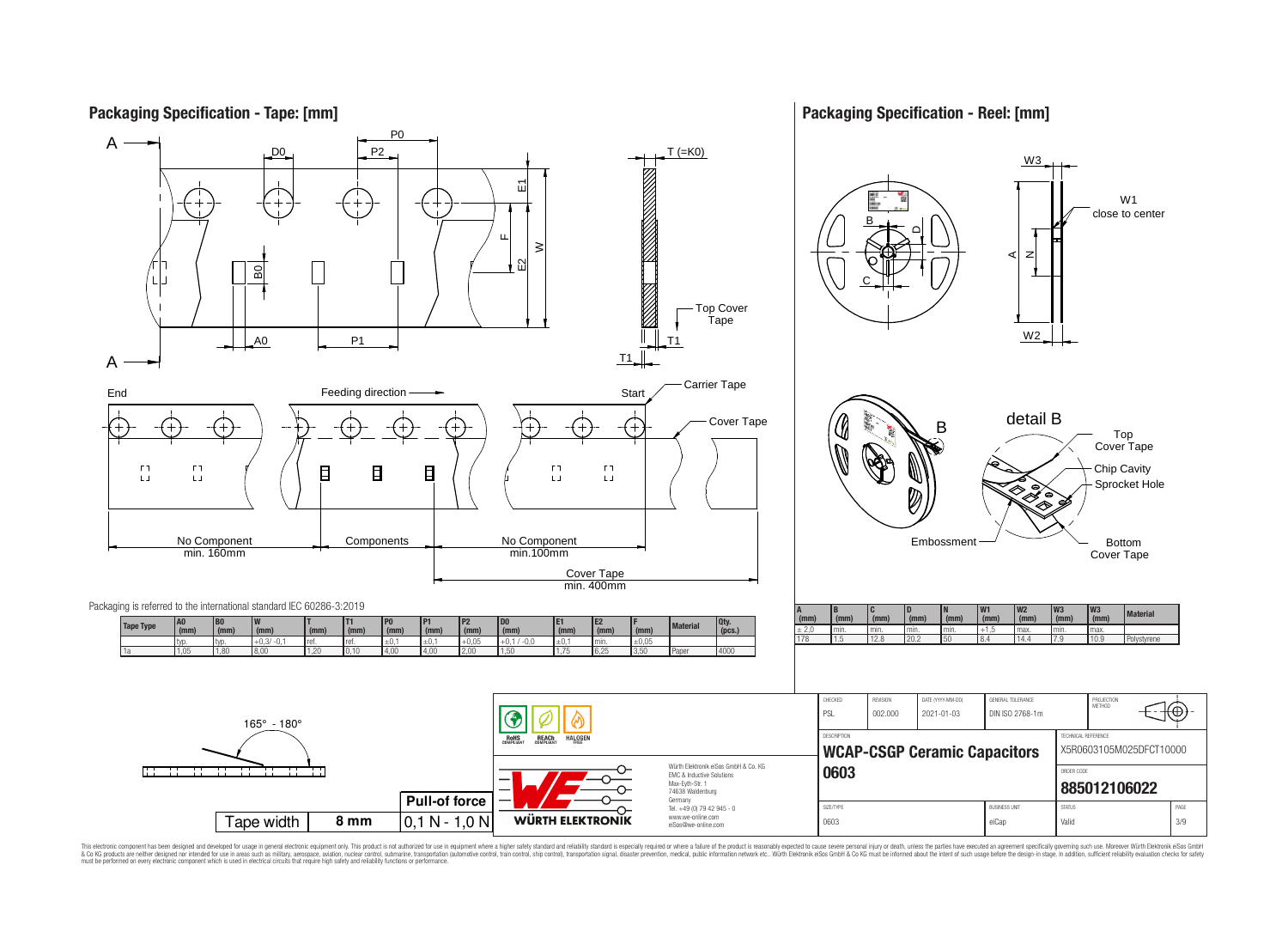

This electronic component has been designed and developed for usage in general electronic equipment only. This product is not authorized for use in equipment where a higher safely standard and reliability standard si espec & Ook product a label and the membed of the seasuch as marked and as which such a membed and the such assume that income in the seasuch and the simulation and the such assume that include to the such a membed and the such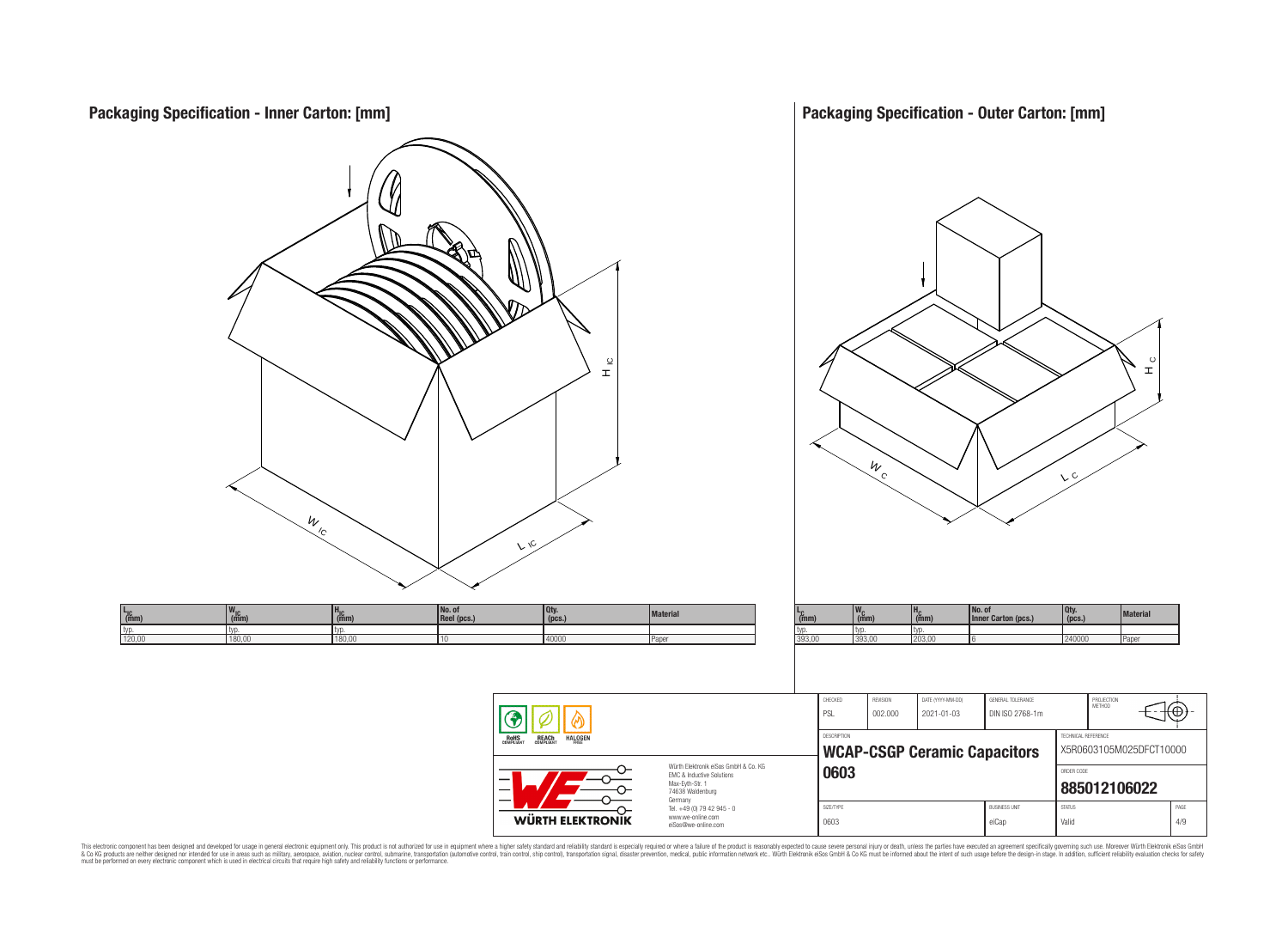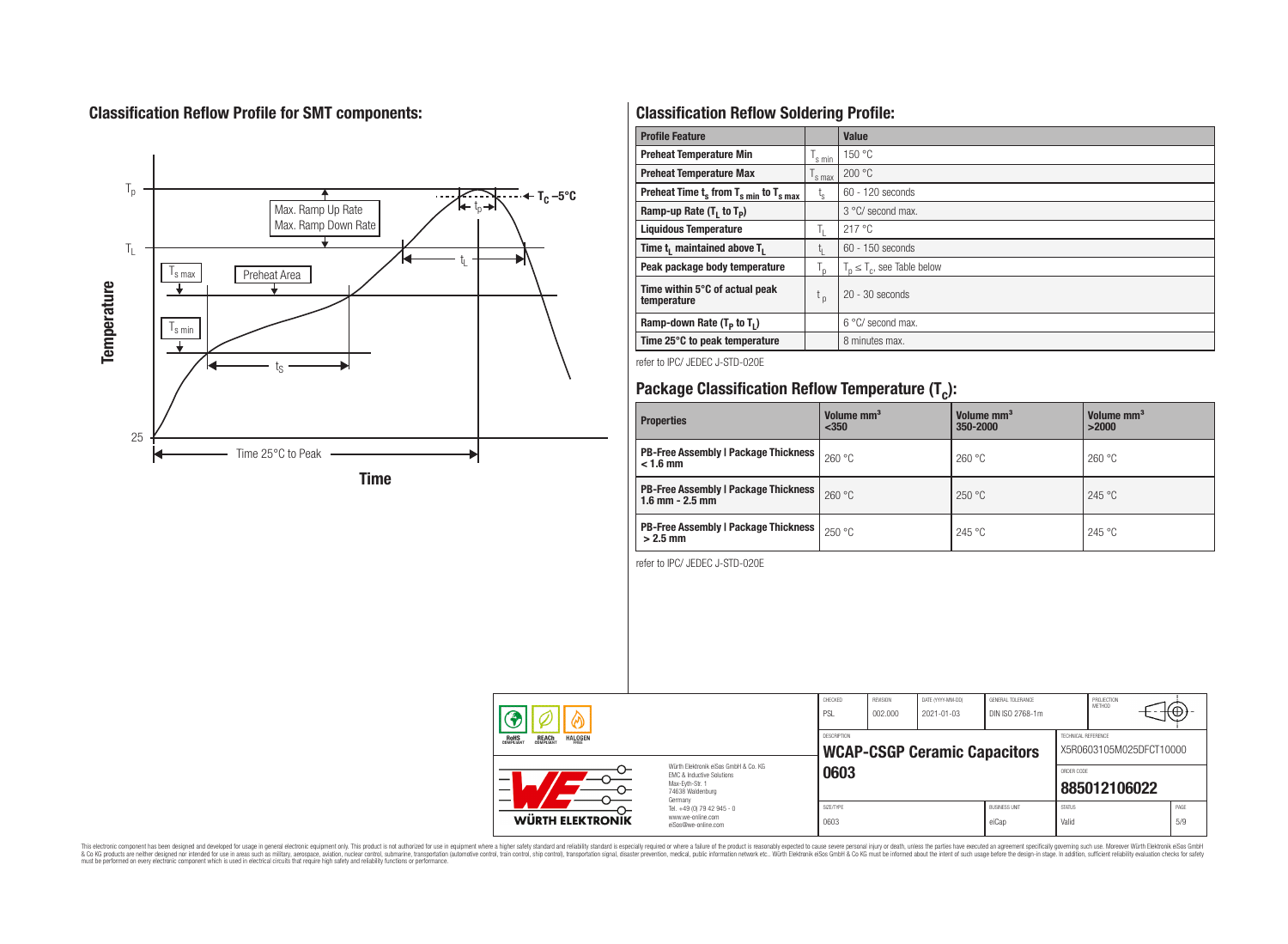# **Classification Reflow Profile for SMT components:**



# **Classification Reflow Soldering Profile:**

| <b>Profile Feature</b>                                               |                    | <b>Value</b>                     |
|----------------------------------------------------------------------|--------------------|----------------------------------|
| <b>Preheat Temperature Min</b>                                       | 's min             | 150 °C                           |
| <b>Preheat Temperature Max</b>                                       | <sup>1</sup> s max | 200 °C                           |
| Preheat Time $t_s$ from $T_s$ <sub>min</sub> to $T_s$ <sub>max</sub> | $t_{s}$            | $60 - 120$ seconds               |
| Ramp-up Rate $(T_1$ to $T_p$ )                                       |                    | $3^{\circ}$ C/ second max.       |
| <b>Liquidous Temperature</b>                                         | T,                 | 217 °C                           |
| Time t <sub>1</sub> maintained above T <sub>1</sub>                  | t.                 | 60 - 150 seconds                 |
| Peak package body temperature                                        | $T_{\text{d}}$     | $T_n \leq T_c$ , see Table below |
| Time within 5°C of actual peak<br>temperature                        | t <sub>p</sub>     | $20 - 30$ seconds                |
| Ramp-down Rate $(T_P$ to $T_I$ )                                     |                    | $6^{\circ}$ C/ second max.       |
| Time 25°C to peak temperature                                        |                    | 8 minutes max.                   |

refer to IPC/ JEDEC J-STD-020E

# **Package Classification Reflow Temperature (T<sup>c</sup> ):**

| <b>Properties</b>                                                    | Volume mm <sup>3</sup><br>< 350 | Volume mm <sup>3</sup><br>350-2000 | Volume mm <sup>3</sup><br>>2000 |
|----------------------------------------------------------------------|---------------------------------|------------------------------------|---------------------------------|
| <b>PB-Free Assembly   Package Thickness  </b><br>$< 1.6$ mm          | 260 °C                          | 260 °C                             | 260 °C                          |
| <b>PB-Free Assembly   Package Thickness  </b><br>$1.6$ mm $- 2.5$ mm | 260 °C                          | 250 °C                             | 245 °C                          |
| <b>PB-Free Assembly   Package Thickness  </b><br>$>2.5$ mm           | 250 °C                          | 245 °C                             | 245 °C                          |

refer to IPC/ JEDEC J-STD-020E

| <b>ROHS</b><br>COMPLIANT<br><b>REACH</b><br>COMPLIANT<br><b>HALOGEN</b><br>Würth Flektronik eiSos GmbH & Co. KG<br><b>EMC &amp; Inductive Solutions</b><br>—<br>Max-Evth-Str. 1<br>74638 Waldenburg<br>Germany |  | 0603<br>SIZE/TYPE | <b>WCAP-CSGP Ceramic Capacitors</b> | <b>BUSINESS UNIT</b> | ORDER CODE<br><b>STATUS</b> | X5R0603105M025DFCT10000<br>885012106022 | PAGE |
|----------------------------------------------------------------------------------------------------------------------------------------------------------------------------------------------------------------|--|-------------------|-------------------------------------|----------------------|-----------------------------|-----------------------------------------|------|
| Tel. +49 (0) 79 42 945 - 0<br><b>WÜRTH ELEKTRONIK</b><br>www.we-online.com<br>eiSos@we-online.com                                                                                                              |  | 0603              |                                     | eiCap                | Valid                       |                                         | 5/9  |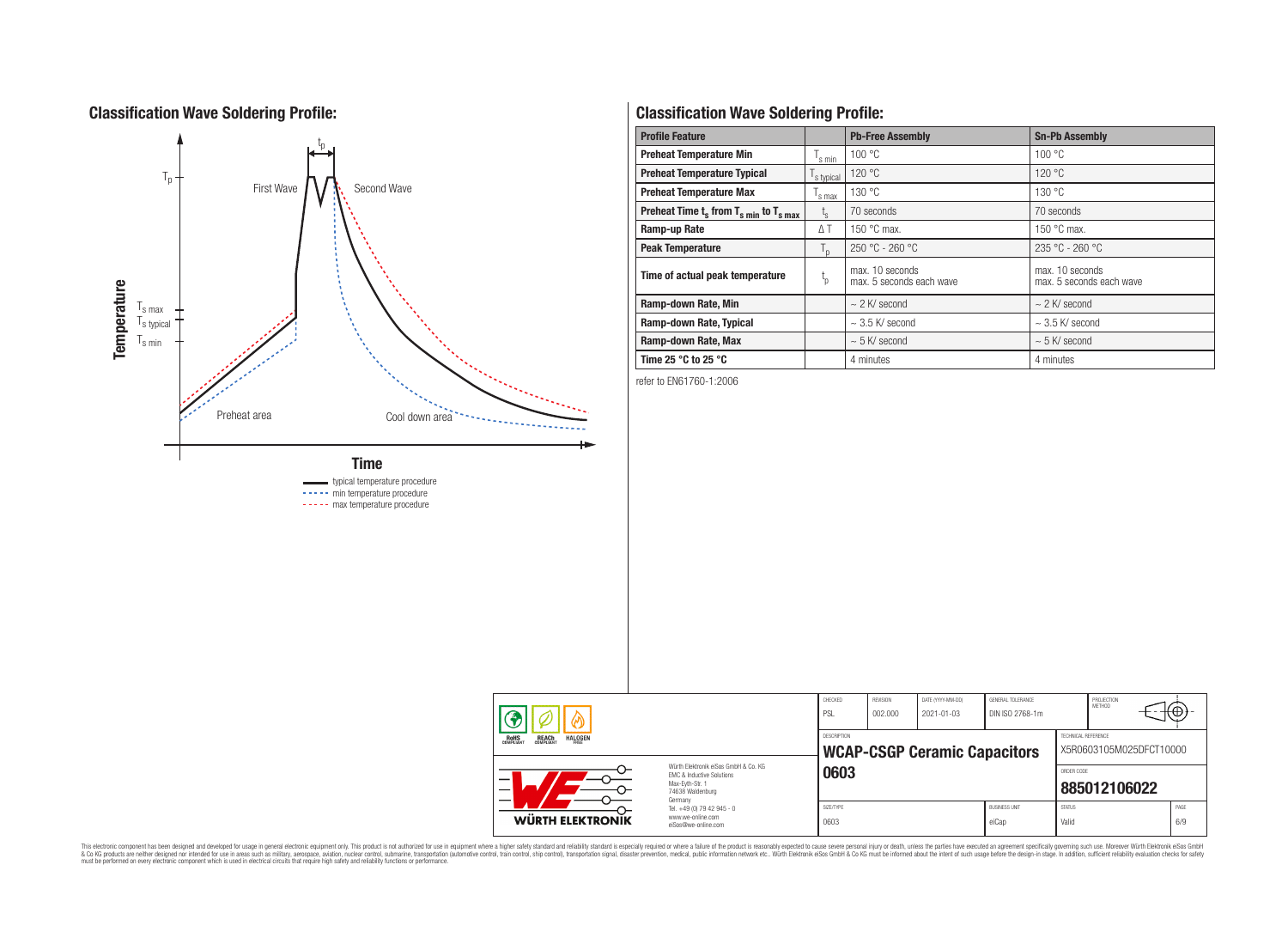# **Classification Wave Soldering Profile:**



# **Classification Wave Soldering Profile:**

| <b>Profile Feature</b>                             |                | <b>Pb-Free Assembly</b>                     | <b>Sn-Pb Assembly</b>                       |
|----------------------------------------------------|----------------|---------------------------------------------|---------------------------------------------|
| <b>Preheat Temperature Min</b>                     | s min          | 100 °C                                      | 100 °C                                      |
| <b>Preheat Temperature Typical</b>                 | s typical      | 120 °C                                      | 120 °C                                      |
| <b>Preheat Temperature Max</b>                     | s max          | 130 °C                                      | 130 °C                                      |
| Preheat Time $t_s$ from $T_{s min}$ to $T_{s max}$ | $t_{\rm s}$    | 70 seconds                                  | 70 seconds                                  |
| Ramp-up Rate                                       | $\triangle$ T  | 150 $\degree$ C max.                        | 150 $\degree$ C max.                        |
| <b>Peak Temperature</b>                            | $T_{\text{D}}$ | $250 °C - 260 °C$                           | $235 °C - 260 °C$                           |
| Time of actual peak temperature                    | $L_{\rm p}$    | max. 10 seconds<br>max. 5 seconds each wave | max. 10 seconds<br>max. 5 seconds each wave |
| Ramp-down Rate, Min                                |                | $\sim$ 2 K/ second                          | $\sim$ 2 K/ second                          |
| Ramp-down Rate, Typical                            |                | $\sim$ 3.5 K/ second                        | $\sim$ 3.5 K/ second                        |
| Ramp-down Rate, Max                                |                | $\sim$ 5 K/ second                          | $\sim$ 5 K/ second                          |
| Time 25 $^{\circ}$ C to 25 $^{\circ}$ C            |                | 4 minutes                                   | 4 minutes                                   |

refer to EN61760-1:2006

| EMC & Inductive Solutions<br>Max-Evth-Str. 1<br>74638 Waldenburg<br>Germany<br>Tel. +49 (0) 79 42 945 - 0<br><b>WÜRTH ELEKTRONIK</b><br>www.we-online.com | eiSos@we-online.com | SIZE/TYPE<br>0603   |                     |                                       | <b>BUSINESS UNIT</b><br>eiCap               | <b>STATUS</b><br>Valid            | 885012106022                | PAGE<br>6/9 |
|-----------------------------------------------------------------------------------------------------------------------------------------------------------|---------------------|---------------------|---------------------|---------------------------------------|---------------------------------------------|-----------------------------------|-----------------------------|-------------|
| <b>REACH</b><br>COMPLIANT<br><b>HALOGEN</b><br><b>ROHS</b><br>COMPLIANT<br>Würth Flektronik eiSos GmbH & Co. KG                                           |                     | DESCRIPTION<br>0603 |                     | <b>WCAP-CSGP Ceramic Capacitors</b>   |                                             | TECHNICAL REFERENCE<br>ORDER CODE | X5R0603105M025DFCT10000     |             |
| Μ                                                                                                                                                         |                     | CHECKED<br>PSL      | REVISION<br>002.000 | DATE (YYYY-MM-DD)<br>$2021 - 01 - 03$ | <b>GENERAL TOLERANCE</b><br>DIN ISO 2768-1m |                                   | PROJECTION<br><b>METHOD</b> | ₩.          |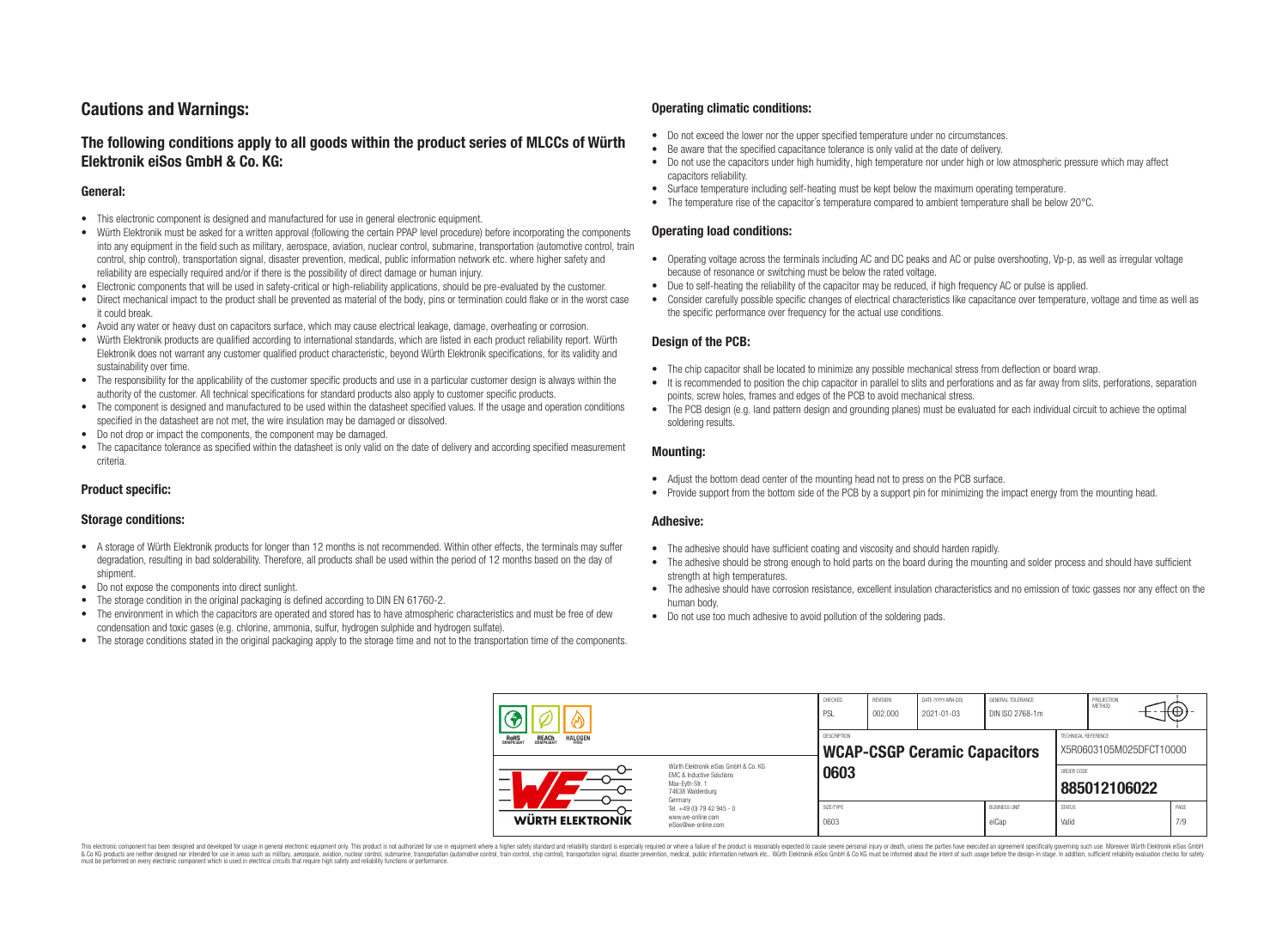# **Cautions and Warnings:**

# **The following conditions apply to all goods within the product series of MLCCs of Würth Elektronik eiSos GmbH & Co. KG:**

### **General:**

- This electronic component is designed and manufactured for use in general electronic equipment.
- Würth Elektronik must be asked for a written approval (following the certain PPAP level procedure) before incorporating the components into any equipment in the field such as military, aerospace, aviation, nuclear control, submarine, transportation (automotive control, train control, ship control), transportation signal, disaster prevention, medical, public information network etc. where higher safety and reliability are especially required and/or if there is the possibility of direct damage or human injury.
- Electronic components that will be used in safety-critical or high-reliability applications, should be pre-evaluated by the customer.
- Direct mechanical impact to the product shall be prevented as material of the body, pins or termination could flake or in the worst case it could break.
- Avoid any water or heavy dust on capacitors surface, which may cause electrical leakage, damage, overheating or corrosion.
- Würth Elektronik products are qualified according to international standards, which are listed in each product reliability report. Würth Elektronik does not warrant any customer qualified product characteristic, beyond Würth Elektronik specifications, for its validity and sustainability over time.
- The responsibility for the applicability of the customer specific products and use in a particular customer design is always within the authority of the customer. All technical specifications for standard products also apply to customer specific products.
- The component is designed and manufactured to be used within the datasheet specified values. If the usage and operation conditions specified in the datasheet are not met, the wire insulation may be damaged or dissolved.
- Do not drop or impact the components, the component may be damaged.
- The capacitance tolerance as specified within the datasheet is only valid on the date of delivery and according specified measurement criteria.

# **Product specific:**

### **Storage conditions:**

- A storage of Würth Elektronik products for longer than 12 months is not recommended. Within other effects, the terminals may suffer degradation, resulting in bad solderability. Therefore, all products shall be used within the period of 12 months based on the day of shipment.
- Do not expose the components into direct sunlight.
- The storage condition in the original packaging is defined according to DIN EN 61760-2.
- The environment in which the capacitors are operated and stored has to have atmospheric characteristics and must be free of dew condensation and toxic gases (e.g. chlorine, ammonia, sulfur, hydrogen sulphide and hydrogen sulfate).
- The storage conditions stated in the original packaging apply to the storage time and not to the transportation time of the components.

## **Operating climatic conditions:**

- Do not exceed the lower nor the upper specified temperature under no circumstances.
- Be aware that the specified capacitance tolerance is only valid at the date of delivery.
- Do not use the capacitors under high humidity, high temperature nor under high or low atmospheric pressure which may affect capacitors reliability.
- Surface temperature including self-heating must be kept below the maximum operating temperature.
- The temperature rise of the capacitor's temperature compared to ambient temperature shall be below 20°C.

### **Operating load conditions:**

- Operating voltage across the terminals including AC and DC peaks and AC or pulse overshooting, Vp-p, as well as irregular voltage because of resonance or switching must be below the rated voltage.
- Due to self-heating the reliability of the capacitor may be reduced, if high frequency AC or pulse is applied.
- Consider carefully possible specific changes of electrical characteristics like capacitance over temperature, voltage and time as well as the specific performance over frequency for the actual use conditions.

## **Design of the PCB:**

- The chip capacitor shall be located to minimize any possible mechanical stress from deflection or board wrap.
- It is recommended to position the chip capacitor in parallel to slits and perforations and as far away from slits, perforations, separation points, screw holes, frames and edges of the PCB to avoid mechanical stress.
- The PCB design (e.g. land pattern design and grounding planes) must be evaluated for each individual circuit to achieve the optimal soldering results.

#### **Mounting:**

- Adjust the bottom dead center of the mounting head not to press on the PCB surface.
- Provide support from the bottom side of the PCB by a support pin for minimizing the impact energy from the mounting head.

#### **Adhesive:**

- The adhesive should have sufficient coating and viscosity and should harden rapidly.
- The adhesive should be strong enough to hold parts on the board during the mounting and solder process and should have sufficient strength at high temperatures.
- The adhesive should have corrosion resistance, excellent insulation characteristics and no emission of toxic gasses nor any effect on the human body.
- Do not use too much adhesive to avoid pollution of the soldering pads.

|                                                                                                                  |                                                                                   | CHECKED<br>PSI    | <b>REVISION</b><br>002.000 | DATE (YYYY-MM-DD)<br>$2021 - 01 - 03$ | <b>GENERAL TOLERANCE</b><br>DIN ISO 2768-1m |                        | PROJECTION<br><b>METHOD</b> | ₩           |
|------------------------------------------------------------------------------------------------------------------|-----------------------------------------------------------------------------------|-------------------|----------------------------|---------------------------------------|---------------------------------------------|------------------------|-----------------------------|-------------|
| ROHS<br>COMPLIANT<br><b>REACH</b><br>COMPLIANT<br><b>HALOGEN</b><br>FREE<br>Würth Elektronik eiSos GmbH & Co. KG |                                                                                   |                   |                            | <b>WCAP-CSGP Ceramic Capacitors</b>   |                                             | TECHNICAL REFERENCE    | X5R0603105M025DFCT10000     |             |
|                                                                                                                  | 0603                                                                              |                   |                            |                                       | ORDER CODE                                  | 885012106022           |                             |             |
| WÜRTH ELEKTRONIK                                                                                                 | Germany<br>Tel. +49 (0) 79 42 945 - 0<br>www.we-online.com<br>eiSos@we-online.com | SIZE/TYPE<br>0603 |                            |                                       | <b>BUSINESS UNIT</b><br>eiCap               | <b>STATUS</b><br>Valid |                             | PAGE<br>7/9 |

This electronic component has been designed and developed for usage in general electronic equipment only. This product is not authorized for use in equipment where a higher safety standard and reliability standard is espec & Ook product a label and the membed of the seasuch as marked and as which such a membed and the such assume that income in the seasuch and the simulation and the such assume that include to the such a membed and the such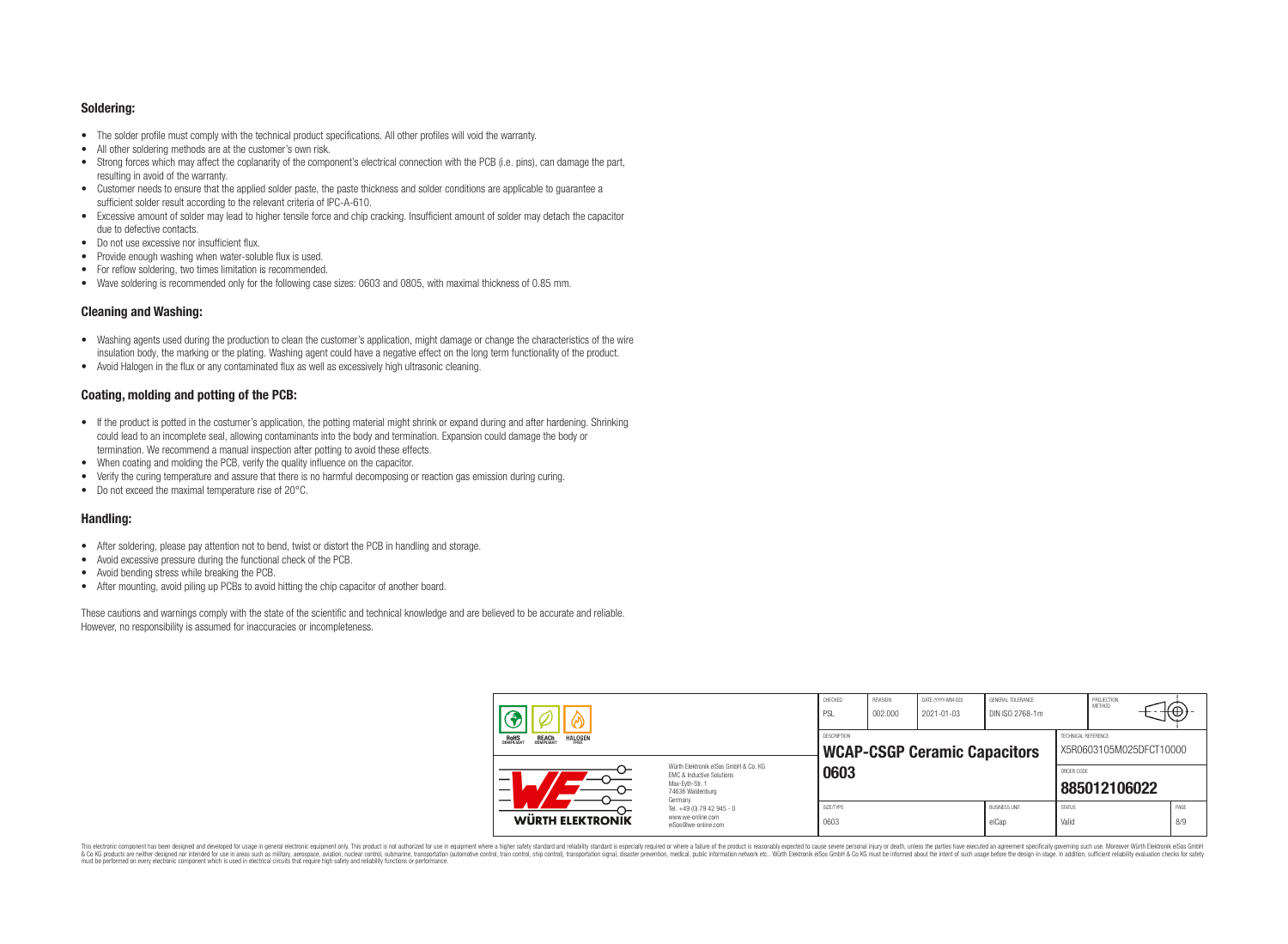#### **Soldering:**

- The solder profile must comply with the technical product specifications. All other profiles will void the warranty.
- All other soldering methods are at the customer's own risk.
- Strong forces which may affect the coplanarity of the component's electrical connection with the PCB (i.e. pins), can damage the part, resulting in avoid of the warranty.
- Customer needs to ensure that the applied solder paste, the paste thickness and solder conditions are applicable to guarantee a sufficient solder result according to the relevant criteria of IPC-A-610.
- Excessive amount of solder may lead to higher tensile force and chip cracking. Insufficient amount of solder may detach the capacitor due to defective contacts.
- Do not use excessive nor insufficient flux.
- Provide enough washing when water-soluble flux is used.
- For reflow soldering, two times limitation is recommended.
- Wave soldering is recommended only for the following case sizes: 0603 and 0805, with maximal thickness of 0.85 mm.

# **Cleaning and Washing:**

- Washing agents used during the production to clean the customer's application, might damage or change the characteristics of the wire insulation body, the marking or the plating. Washing agent could have a negative effect on the long term functionality of the product.
- Avoid Halogen in the flux or any contaminated flux as well as excessively high ultrasonic cleaning.

# **Coating, molding and potting of the PCB:**

- If the product is potted in the costumer's application, the potting material might shrink or expand during and after hardening. Shrinking could lead to an incomplete seal, allowing contaminants into the body and termination. Expansion could damage the body or termination. We recommend a manual inspection after potting to avoid these effects.
- When coating and molding the PCB, verify the quality influence on the capacitor.
- Verify the curing temperature and assure that there is no harmful decomposing or reaction gas emission during curing.
- Do not exceed the maximal temperature rise of 20°C.

# **Handling:**

- After soldering, please pay attention not to bend, twist or distort the PCB in handling and storage.
- Avoid excessive pressure during the functional check of the PCB.
- Avoid bending stress while breaking the PCB.
- After mounting, avoid piling up PCBs to avoid hitting the chip capacitor of another board.

These cautions and warnings comply with the state of the scientific and technical knowledge and are believed to be accurate and reliable. However, no responsibility is assumed for inaccuracies or incompleteness.

|                                                                         |                                                                                                          | CHECKED<br>PSL    | REVISION<br>002.000 | DATE (YYYY-MM-DD)<br>2021-01-03     | GENERAL TOLERANCE<br>DIN ISO 2768-1m |                        | PROJECTION<br><b>METHOD</b> | ₩           |
|-------------------------------------------------------------------------|----------------------------------------------------------------------------------------------------------|-------------------|---------------------|-------------------------------------|--------------------------------------|------------------------|-----------------------------|-------------|
| <b>HALOGEN</b><br><b>REACH</b><br>COMPLIANT<br><b>ROHS</b><br>COMPLIANT |                                                                                                          |                   |                     | <b>WCAP-CSGP Ceramic Capacitors</b> |                                      | TECHNICAL REFERENCE    | X5R0603105M025DFCT10000     |             |
| –                                                                       | Würth Elektronik eiSos GmbH & Co. KG<br>EMC & Inductive Solutions<br>Max-Evth-Str. 1<br>74638 Waldenburg | 0603              |                     |                                     |                                      | ORDER CODE             | 885012106022                |             |
| WÜRTH ELEKTRONIK                                                        | Germany<br>Tel. +49 (0) 79 42 945 - 0<br>www.we-online.com<br>eiSos@we-online.com                        | SIZE/TYPE<br>0603 |                     |                                     | <b>BUSINESS UNIT</b><br>eiCap        | <b>STATUS</b><br>Valid |                             | PAGE<br>8/9 |

This electronic component has been designed and developed for usage in general electronic equipment only. This product is not authorized for use in equipment where a higher safety standard and reliability standard is espec & Ook product a label and the membed of the seasuch as marked and as which such a membed and the such assume that income in the seasuch and the simulation and the such assume that include to the such a membed and the such